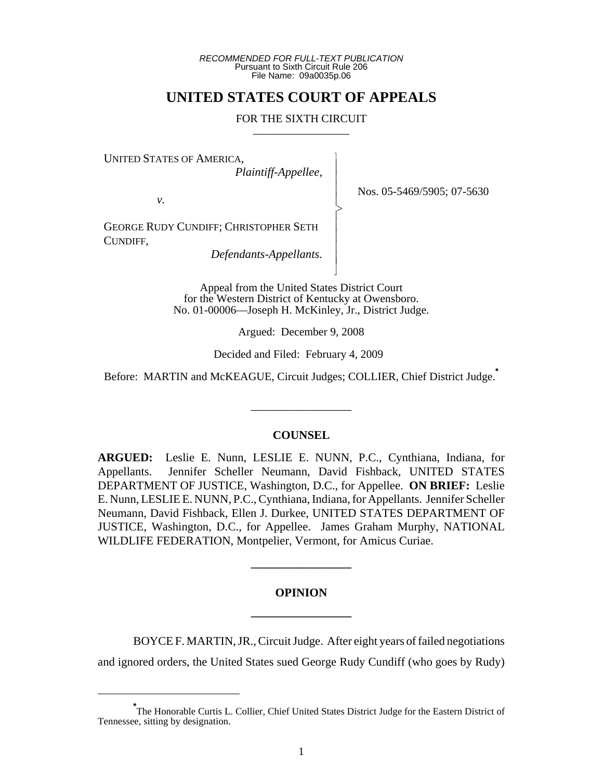*RECOMMENDED FOR FULL-TEXT PUBLICATION* Pursuant to Sixth Circuit Rule 206 File Name: 09a0035p.06

# **UNITED STATES COURT OF APPEALS**

## FOR THE SIXTH CIRCUIT

 $\overline{\phantom{a}}$ - - - |<br>|<br>| > , - - - - N

UNITED STATES OF AMERICA,

 *Plaintiff-Appellee,*

*v.*

Nos. 05-5469/5905; 07-5630

GEORGE RUDY CUNDIFF; CHRISTOPHER SETH CUNDIFF,

 *Defendants-Appellants.*

Appeal from the United States District Court for the Western District of Kentucky at Owensboro. No. 01-00006—Joseph H. McKinley, Jr., District Judge.

Argued: December 9, 2008

Decided and Filed: February 4, 2009

Before: MARTIN and McKEAGUE, Circuit Judges; COLLIER, Chief District Judge.**\***

\_\_\_\_\_\_\_\_\_\_\_\_\_\_\_\_\_

#### **COUNSEL**

**ARGUED:** Leslie E. Nunn, LESLIE E. NUNN, P.C., Cynthiana, Indiana, for Appellants. Jennifer Scheller Neumann, David Fishback, UNITED STATES DEPARTMENT OF JUSTICE, Washington, D.C., for Appellee. **ON BRIEF:** Leslie E. Nunn, LESLIE E. NUNN, P.C., Cynthiana, Indiana, for Appellants. Jennifer Scheller Neumann, David Fishback, Ellen J. Durkee, UNITED STATES DEPARTMENT OF JUSTICE, Washington, D.C., for Appellee. James Graham Murphy, NATIONAL WILDLIFE FEDERATION, Montpelier, Vermont, for Amicus Curiae.

# **OPINION \_\_\_\_\_\_\_\_\_\_\_\_\_\_\_\_\_**

**\_\_\_\_\_\_\_\_\_\_\_\_\_\_\_\_\_**

BOYCE F. MARTIN, JR., Circuit Judge. After eight years of failed negotiations and ignored orders, the United States sued George Rudy Cundiff (who goes by Rudy)

**<sup>\*</sup>** The Honorable Curtis L. Collier, Chief United States District Judge for the Eastern District of Tennessee, sitting by designation.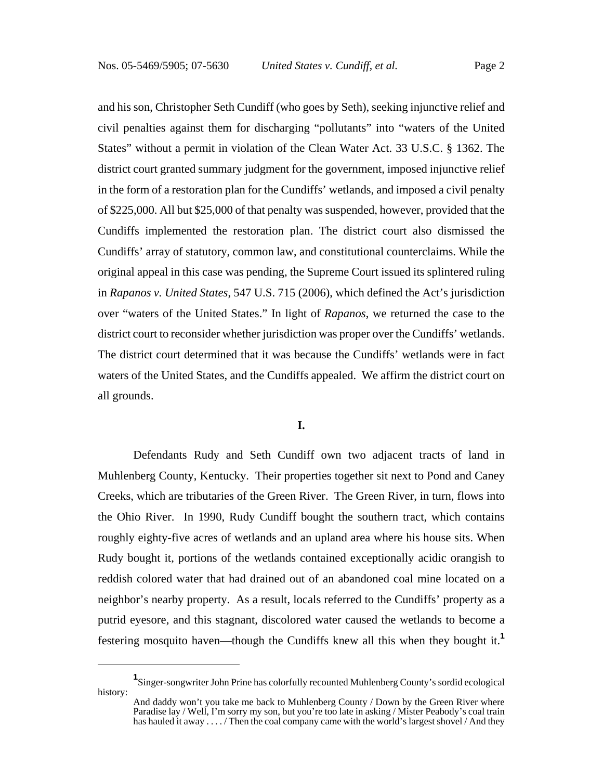and his son, Christopher Seth Cundiff (who goes by Seth), seeking injunctive relief and civil penalties against them for discharging "pollutants" into "waters of the United States" without a permit in violation of the Clean Water Act. 33 U.S.C. § 1362. The district court granted summary judgment for the government, imposed injunctive relief in the form of a restoration plan for the Cundiffs' wetlands, and imposed a civil penalty of \$225,000. All but \$25,000 of that penalty was suspended, however, provided that the Cundiffs implemented the restoration plan. The district court also dismissed the Cundiffs' array of statutory, common law, and constitutional counterclaims. While the original appeal in this case was pending, the Supreme Court issued its splintered ruling in *Rapanos v. United States*, 547 U.S. 715 (2006), which defined the Act's jurisdiction over "waters of the United States." In light of *Rapanos*, we returned the case to the district court to reconsider whether jurisdiction was proper over the Cundiffs' wetlands. The district court determined that it was because the Cundiffs' wetlands were in fact waters of the United States, and the Cundiffs appealed. We affirm the district court on all grounds.

# **I.**

Defendants Rudy and Seth Cundiff own two adjacent tracts of land in Muhlenberg County, Kentucky. Their properties together sit next to Pond and Caney Creeks, which are tributaries of the Green River. The Green River, in turn, flows into the Ohio River. In 1990, Rudy Cundiff bought the southern tract, which contains roughly eighty-five acres of wetlands and an upland area where his house sits. When Rudy bought it, portions of the wetlands contained exceptionally acidic orangish to reddish colored water that had drained out of an abandoned coal mine located on a neighbor's nearby property. As a result, locals referred to the Cundiffs' property as a putrid eyesore, and this stagnant, discolored water caused the wetlands to become a festering mosquito haven—though the Cundiffs knew all this when they bought it.**<sup>1</sup>**

history:

**<sup>1</sup>** Singer-songwriter John Prine has colorfully recounted Muhlenberg County's sordid ecological

And daddy won't you take me back to Muhlenberg County / Down by the Green River where Paradise lay / Well, I'm sorry my son, but you're too late in asking / Mister Peabody's coal train has hauled it away . . . . / Then the coal company came with the world's largest shovel / And they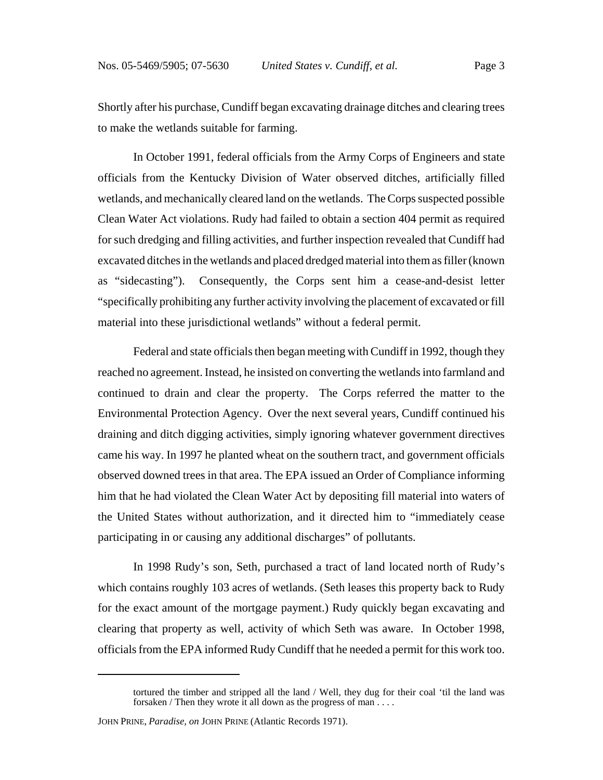Shortly after his purchase, Cundiff began excavating drainage ditches and clearing trees to make the wetlands suitable for farming.

In October 1991, federal officials from the Army Corps of Engineers and state officials from the Kentucky Division of Water observed ditches, artificially filled wetlands, and mechanically cleared land on the wetlands. The Corps suspected possible Clean Water Act violations. Rudy had failed to obtain a section 404 permit as required for such dredging and filling activities, and further inspection revealed that Cundiff had excavated ditches in the wetlands and placed dredged material into them as filler (known as "sidecasting"). Consequently, the Corps sent him a cease-and-desist letter "specifically prohibiting any further activity involving the placement of excavated or fill material into these jurisdictional wetlands" without a federal permit.

Federal and state officials then began meeting with Cundiff in 1992, though they reached no agreement. Instead, he insisted on converting the wetlands into farmland and continued to drain and clear the property. The Corps referred the matter to the Environmental Protection Agency. Over the next several years, Cundiff continued his draining and ditch digging activities, simply ignoring whatever government directives came his way. In 1997 he planted wheat on the southern tract, and government officials observed downed trees in that area. The EPA issued an Order of Compliance informing him that he had violated the Clean Water Act by depositing fill material into waters of the United States without authorization, and it directed him to "immediately cease participating in or causing any additional discharges" of pollutants.

In 1998 Rudy's son, Seth, purchased a tract of land located north of Rudy's which contains roughly 103 acres of wetlands. (Seth leases this property back to Rudy for the exact amount of the mortgage payment.) Rudy quickly began excavating and clearing that property as well, activity of which Seth was aware. In October 1998, officials from the EPA informed Rudy Cundiff that he needed a permit for this work too.

tortured the timber and stripped all the land / Well, they dug for their coal 'til the land was forsaken / Then they wrote it all down as the progress of man . . . .

JOHN PRINE, *Paradise, on* JOHN PRINE (Atlantic Records 1971).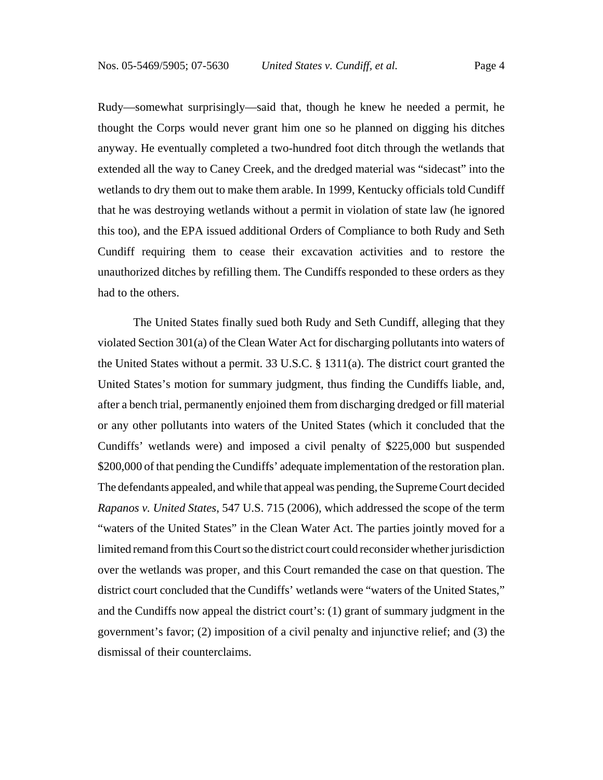Rudy—somewhat surprisingly—said that, though he knew he needed a permit, he thought the Corps would never grant him one so he planned on digging his ditches anyway. He eventually completed a two-hundred foot ditch through the wetlands that extended all the way to Caney Creek, and the dredged material was "sidecast" into the wetlands to dry them out to make them arable. In 1999, Kentucky officials told Cundiff that he was destroying wetlands without a permit in violation of state law (he ignored this too), and the EPA issued additional Orders of Compliance to both Rudy and Seth Cundiff requiring them to cease their excavation activities and to restore the unauthorized ditches by refilling them. The Cundiffs responded to these orders as they had to the others.

The United States finally sued both Rudy and Seth Cundiff, alleging that they violated Section 301(a) of the Clean Water Act for discharging pollutants into waters of the United States without a permit. 33 U.S.C. § 1311(a). The district court granted the United States's motion for summary judgment, thus finding the Cundiffs liable, and, after a bench trial, permanently enjoined them from discharging dredged or fill material or any other pollutants into waters of the United States (which it concluded that the Cundiffs' wetlands were) and imposed a civil penalty of \$225,000 but suspended \$200,000 of that pending the Cundiffs' adequate implementation of the restoration plan. The defendants appealed, and while that appeal was pending, the Supreme Court decided *Rapanos v. United States*, 547 U.S. 715 (2006), which addressed the scope of the term "waters of the United States" in the Clean Water Act. The parties jointly moved for a limited remand from this Court so the district court could reconsider whether jurisdiction over the wetlands was proper, and this Court remanded the case on that question. The district court concluded that the Cundiffs' wetlands were "waters of the United States," and the Cundiffs now appeal the district court's: (1) grant of summary judgment in the government's favor; (2) imposition of a civil penalty and injunctive relief; and (3) the dismissal of their counterclaims.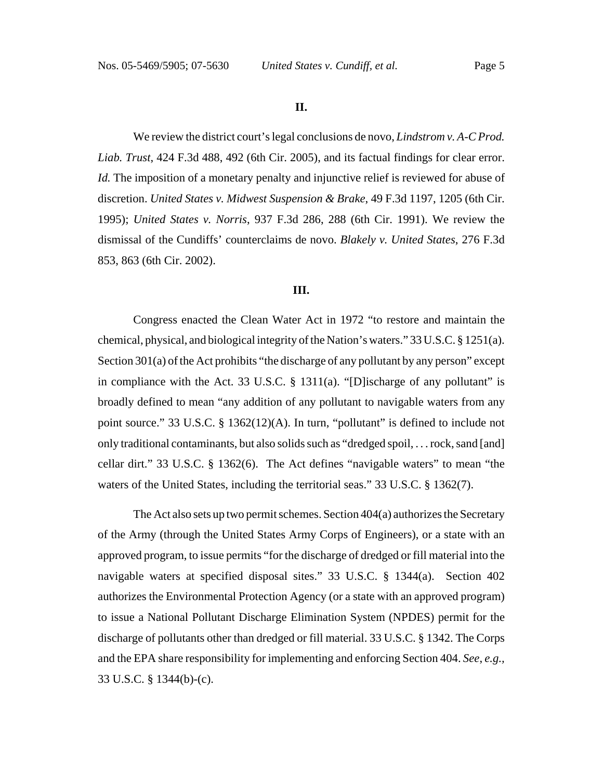#### **II.**

We review the district court's legal conclusions de novo, *Lindstrom v. A-C Prod. Liab. Trust*, 424 F.3d 488, 492 (6th Cir. 2005), and its factual findings for clear error. *Id.* The imposition of a monetary penalty and injunctive relief is reviewed for abuse of discretion. *United States v. Midwest Suspension & Brake*, 49 F.3d 1197, 1205 (6th Cir. 1995); *United States v. Norris*, 937 F.3d 286, 288 (6th Cir. 1991). We review the dismissal of the Cundiffs' counterclaims de novo. *Blakely v. United States*, 276 F.3d 853, 863 (6th Cir. 2002).

### **III.**

Congress enacted the Clean Water Act in 1972 "to restore and maintain the chemical, physical, and biological integrity of the Nation's waters." 33 U.S.C. § 1251(a). Section 301(a) of the Act prohibits "the discharge of any pollutant by any person" except in compliance with the Act. 33 U.S.C.  $\S$  1311(a). "[D] ischarge of any pollutant" is broadly defined to mean "any addition of any pollutant to navigable waters from any point source." 33 U.S.C. § 1362(12)(A). In turn, "pollutant" is defined to include not only traditional contaminants, but also solids such as "dredged spoil, . . . rock, sand [and] cellar dirt." 33 U.S.C. § 1362(6). The Act defines "navigable waters" to mean "the waters of the United States, including the territorial seas." 33 U.S.C. § 1362(7).

The Act also sets up two permit schemes. Section 404(a) authorizes the Secretary of the Army (through the United States Army Corps of Engineers), or a state with an approved program, to issue permits "for the discharge of dredged or fill material into the navigable waters at specified disposal sites." 33 U.S.C. § 1344(a). Section 402 authorizes the Environmental Protection Agency (or a state with an approved program) to issue a National Pollutant Discharge Elimination System (NPDES) permit for the discharge of pollutants other than dredged or fill material. 33 U.S.C. § 1342. The Corps and the EPA share responsibility for implementing and enforcing Section 404. *See*, *e.g.,* 33 U.S.C. § 1344(b)-(c).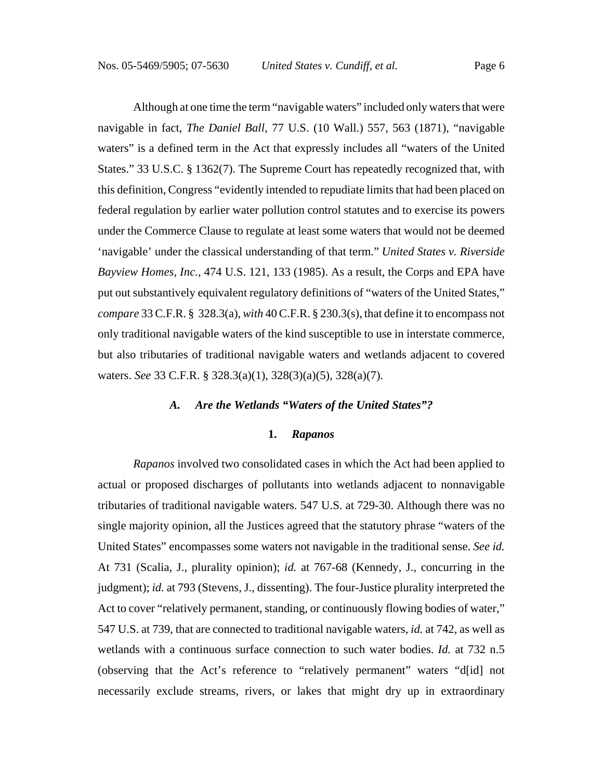Although at one time the term "navigable waters" included only waters that were navigable in fact, *The Daniel Ball*, 77 U.S. (10 Wall.) 557, 563 (1871), "navigable waters" is a defined term in the Act that expressly includes all "waters of the United States." 33 U.S.C. § 1362(7). The Supreme Court has repeatedly recognized that, with this definition, Congress "evidently intended to repudiate limits that had been placed on federal regulation by earlier water pollution control statutes and to exercise its powers under the Commerce Clause to regulate at least some waters that would not be deemed 'navigable' under the classical understanding of that term." *United States v. Riverside Bayview Homes, Inc.*, 474 U.S. 121, 133 (1985). As a result, the Corps and EPA have put out substantively equivalent regulatory definitions of "waters of the United States," *compare* 33 C.F.R. § 328.3(a), *with* 40 C.F.R. § 230.3(s), that define it to encompass not only traditional navigable waters of the kind susceptible to use in interstate commerce, but also tributaries of traditional navigable waters and wetlands adjacent to covered waters. *See* 33 C.F.R. § 328.3(a)(1), 328(3)(a)(5), 328(a)(7).

#### *A. Are the Wetlands "Waters of the United States"?*

#### **1.** *Rapanos*

*Rapanos* involved two consolidated cases in which the Act had been applied to actual or proposed discharges of pollutants into wetlands adjacent to nonnavigable tributaries of traditional navigable waters. 547 U.S. at 729-30. Although there was no single majority opinion, all the Justices agreed that the statutory phrase "waters of the United States" encompasses some waters not navigable in the traditional sense. *See id.* At 731 (Scalia, J., plurality opinion); *id.* at 767-68 (Kennedy, J., concurring in the judgment); *id.* at 793 (Stevens, J., dissenting). The four-Justice plurality interpreted the Act to cover "relatively permanent, standing, or continuously flowing bodies of water," 547 U.S. at 739, that are connected to traditional navigable waters, *id.* at 742, as well as wetlands with a continuous surface connection to such water bodies. *Id.* at 732 n.5 (observing that the Act's reference to "relatively permanent" waters "d[id] not necessarily exclude streams, rivers, or lakes that might dry up in extraordinary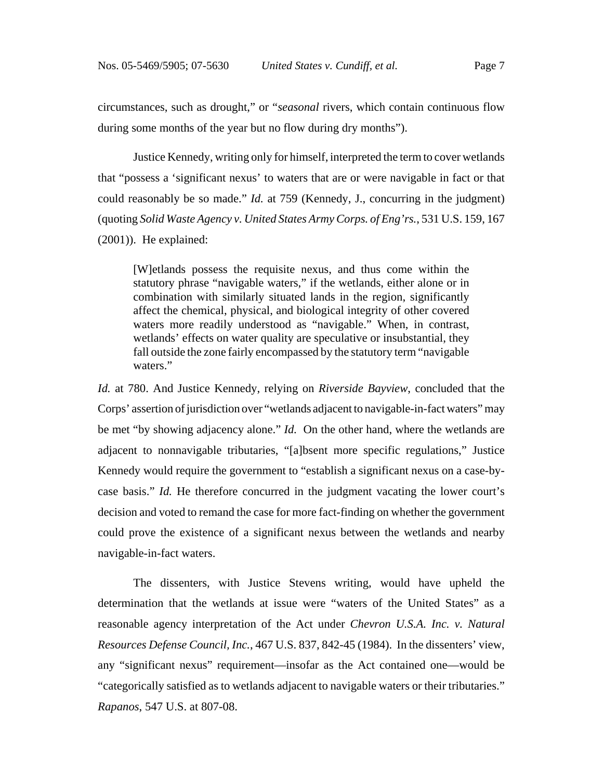circumstances, such as drought," or "*seasonal* rivers, which contain continuous flow during some months of the year but no flow during dry months").

Justice Kennedy, writing only for himself, interpreted the term to cover wetlands that "possess a 'significant nexus' to waters that are or were navigable in fact or that could reasonably be so made." *Id.* at 759 (Kennedy, J., concurring in the judgment) (quoting *Solid Waste Agency v. United States Army Corps. of Eng'rs.*, 531 U.S. 159, 167 (2001)). He explained:

[W]etlands possess the requisite nexus, and thus come within the statutory phrase "navigable waters," if the wetlands, either alone or in combination with similarly situated lands in the region, significantly affect the chemical, physical, and biological integrity of other covered waters more readily understood as "navigable." When, in contrast, wetlands' effects on water quality are speculative or insubstantial, they fall outside the zone fairly encompassed by the statutory term "navigable waters."

*Id.* at 780. And Justice Kennedy, relying on *Riverside Bayview*, concluded that the Corps' assertion of jurisdiction over "wetlands adjacent to navigable-in-fact waters" may be met "by showing adjacency alone." *Id.* On the other hand, where the wetlands are adjacent to nonnavigable tributaries, "[a]bsent more specific regulations," Justice Kennedy would require the government to "establish a significant nexus on a case-bycase basis." *Id.* He therefore concurred in the judgment vacating the lower court's decision and voted to remand the case for more fact-finding on whether the government could prove the existence of a significant nexus between the wetlands and nearby navigable-in-fact waters.

The dissenters, with Justice Stevens writing, would have upheld the determination that the wetlands at issue were "waters of the United States" as a reasonable agency interpretation of the Act under *Chevron U.S.A. Inc. v. Natural Resources Defense Council, Inc.*, 467 U.S. 837, 842-45 (1984). In the dissenters' view, any "significant nexus" requirement—insofar as the Act contained one—would be "categorically satisfied as to wetlands adjacent to navigable waters or their tributaries." *Rapanos*, 547 U.S. at 807-08.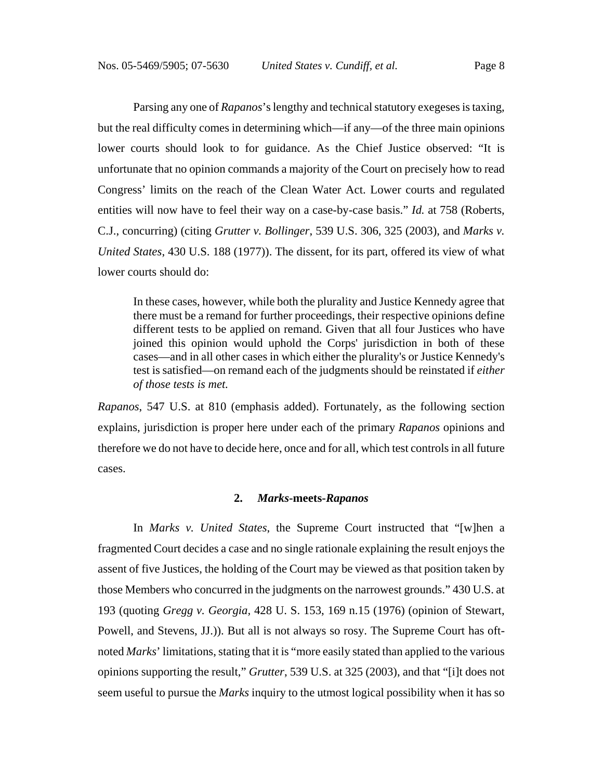Parsing any one of *Rapanos*'s lengthy and technical statutory exegeses is taxing, but the real difficulty comes in determining which—if any—of the three main opinions lower courts should look to for guidance. As the Chief Justice observed: "It is unfortunate that no opinion commands a majority of the Court on precisely how to read Congress' limits on the reach of the Clean Water Act. Lower courts and regulated entities will now have to feel their way on a case-by-case basis." *Id.* at 758 (Roberts, C.J., concurring) (citing *Grutter v. Bollinger*, 539 U.S. 306, 325 (2003), and *Marks v. United States*, 430 U.S. 188 (1977)). The dissent, for its part, offered its view of what lower courts should do:

In these cases, however, while both the plurality and Justice Kennedy agree that there must be a remand for further proceedings, their respective opinions define different tests to be applied on remand. Given that all four Justices who have joined this opinion would uphold the Corps' jurisdiction in both of these cases—and in all other cases in which either the plurality's or Justice Kennedy's test is satisfied—on remand each of the judgments should be reinstated if *either of those tests is met.*

*Rapanos*, 547 U.S. at 810 (emphasis added). Fortunately, as the following section explains, jurisdiction is proper here under each of the primary *Rapanos* opinions and therefore we do not have to decide here, once and for all, which test controls in all future cases.

## **2.** *Marks***-meets-***Rapanos*

In *Marks v. United States*, the Supreme Court instructed that "[w]hen a fragmented Court decides a case and no single rationale explaining the result enjoys the assent of five Justices, the holding of the Court may be viewed as that position taken by those Members who concurred in the judgments on the narrowest grounds." 430 U.S. at 193 (quoting *Gregg v. Georgia,* 428 U. S. 153, 169 n.15 (1976) (opinion of Stewart, Powell, and Stevens, JJ.)). But all is not always so rosy. The Supreme Court has oftnoted *Marks*' limitations, stating that it is "more easily stated than applied to the various opinions supporting the result," *Grutter*, 539 U.S. at 325 (2003), and that "[i]t does not seem useful to pursue the *Marks* inquiry to the utmost logical possibility when it has so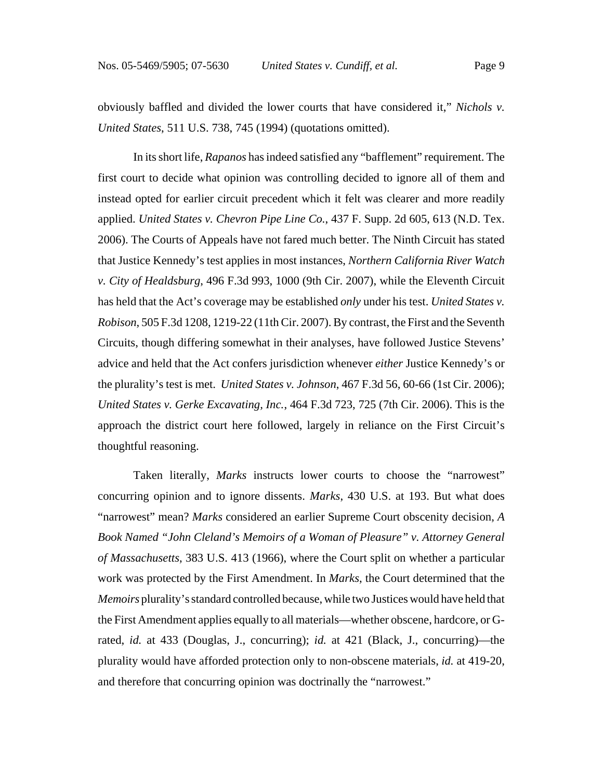obviously baffled and divided the lower courts that have considered it," *Nichols v. United States*, 511 U.S. 738, 745 (1994) (quotations omitted).

In its short life, *Rapanos* has indeed satisfied any "bafflement" requirement. The first court to decide what opinion was controlling decided to ignore all of them and instead opted for earlier circuit precedent which it felt was clearer and more readily applied. *United States v. Chevron Pipe Line Co.*, 437 F. Supp. 2d 605, 613 (N.D. Tex. 2006). The Courts of Appeals have not fared much better. The Ninth Circuit has stated that Justice Kennedy's test applies in most instances, *Northern California River Watch v. City of Healdsburg*, 496 F.3d 993, 1000 (9th Cir. 2007), while the Eleventh Circuit has held that the Act's coverage may be established *only* under his test. *United States v. Robison*, 505 F.3d 1208, 1219-22 (11th Cir. 2007). By contrast, the First and the Seventh Circuits, though differing somewhat in their analyses, have followed Justice Stevens' advice and held that the Act confers jurisdiction whenever *either* Justice Kennedy's or the plurality's test is met. *United States v. Johnson*, 467 F.3d 56, 60-66 (1st Cir. 2006); *United States v. Gerke Excavating, Inc.*, 464 F.3d 723, 725 (7th Cir. 2006). This is the approach the district court here followed, largely in reliance on the First Circuit's thoughtful reasoning.

Taken literally, *Marks* instructs lower courts to choose the "narrowest" concurring opinion and to ignore dissents. *Marks*, 430 U.S. at 193. But what does "narrowest" mean? *Marks* considered an earlier Supreme Court obscenity decision, *A Book Named "John Cleland's Memoirs of a Woman of Pleasure" v. Attorney General of Massachusetts*, 383 U.S. 413 (1966), where the Court split on whether a particular work was protected by the First Amendment. In *Marks*, the Court determined that the *Memoirs* plurality's standard controlled because, while two Justices would have held that the First Amendment applies equally to all materials—whether obscene, hardcore, or Grated, *id.* at 433 (Douglas, J., concurring); *id.* at 421 (Black, J., concurring)—the plurality would have afforded protection only to non-obscene materials, *id.* at 419-20, and therefore that concurring opinion was doctrinally the "narrowest."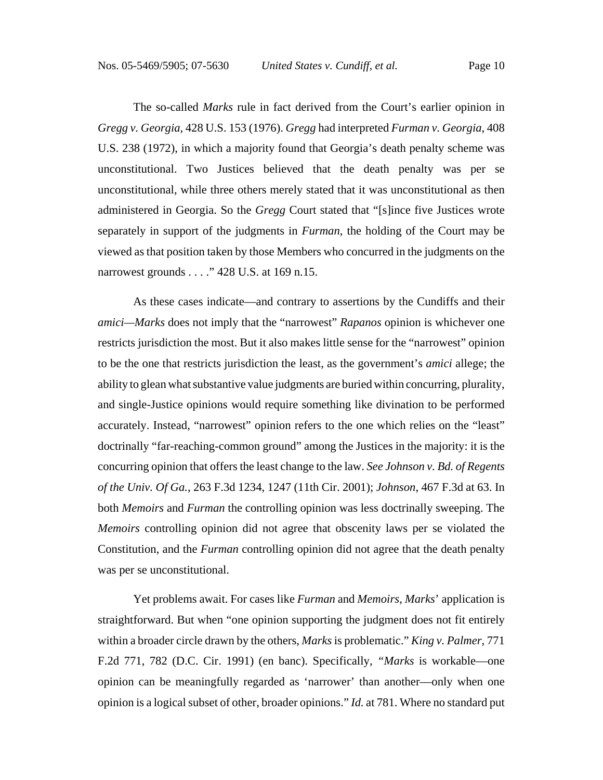The so-called *Marks* rule in fact derived from the Court's earlier opinion in *Gregg v. Georgia*, 428 U.S. 153 (1976). *Gregg* had interpreted *Furman v. Georgia*, 408 U.S. 238 (1972), in which a majority found that Georgia's death penalty scheme was unconstitutional. Two Justices believed that the death penalty was per se unconstitutional, while three others merely stated that it was unconstitutional as then administered in Georgia. So the *Gregg* Court stated that "[s]ince five Justices wrote separately in support of the judgments in *Furman*, the holding of the Court may be viewed as that position taken by those Members who concurred in the judgments on the narrowest grounds . . . ." 428 U.S. at 169 n.15.

As these cases indicate—and contrary to assertions by the Cundiffs and their *amici—Marks* does not imply that the "narrowest" *Rapanos* opinion is whichever one restricts jurisdiction the most. But it also makes little sense for the "narrowest" opinion to be the one that restricts jurisdiction the least, as the government's *amici* allege; the ability to glean what substantive value judgments are buried within concurring, plurality, and single-Justice opinions would require something like divination to be performed accurately. Instead, "narrowest" opinion refers to the one which relies on the "least" doctrinally "far-reaching-common ground" among the Justices in the majority: it is the concurring opinion that offers the least change to the law. *See Johnson v. Bd. of Regents of the Univ. Of Ga.*, 263 F.3d 1234, 1247 (11th Cir. 2001); *Johnson*, 467 F.3d at 63. In both *Memoirs* and *Furman* the controlling opinion was less doctrinally sweeping. The *Memoirs* controlling opinion did not agree that obscenity laws per se violated the Constitution, and the *Furman* controlling opinion did not agree that the death penalty was per se unconstitutional.

Yet problems await. For cases like *Furman* and *Memoirs*, *Marks*' application is straightforward. But when "one opinion supporting the judgment does not fit entirely within a broader circle drawn by the others, *Marks* is problematic." *King v. Palmer*, 771 F.2d 771, 782 (D.C. Cir. 1991) (en banc). Specifically, *"Marks* is workable—one opinion can be meaningfully regarded as 'narrower' than another—only when one opinion is a logical subset of other, broader opinions." *Id.* at 781. Where no standard put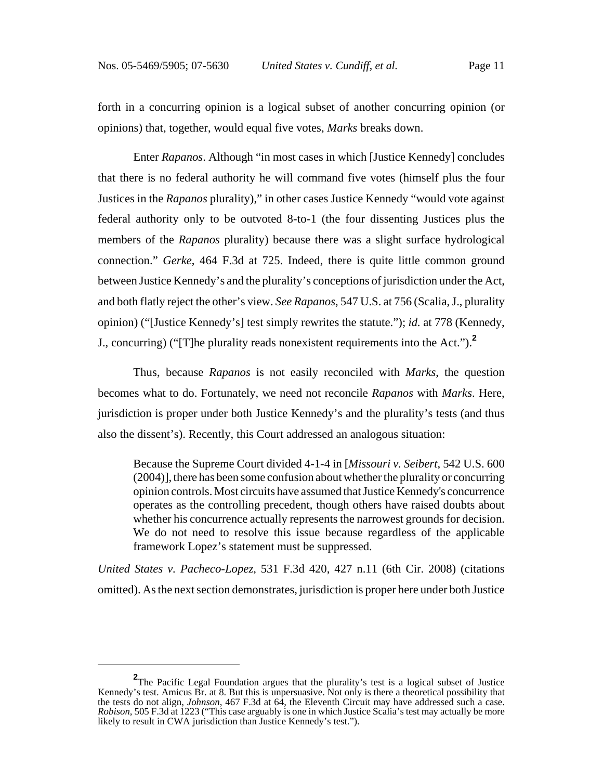forth in a concurring opinion is a logical subset of another concurring opinion (or opinions) that, together, would equal five votes, *Marks* breaks down.

Enter *Rapanos*. Although "in most cases in which [Justice Kennedy] concludes that there is no federal authority he will command five votes (himself plus the four Justices in the *Rapanos* plurality)," in other cases Justice Kennedy "would vote against federal authority only to be outvoted 8-to-1 (the four dissenting Justices plus the members of the *Rapanos* plurality) because there was a slight surface hydrological connection." *Gerke*, 464 F.3d at 725. Indeed, there is quite little common ground between Justice Kennedy's and the plurality's conceptions of jurisdiction under the Act, and both flatly reject the other's view. *See Rapanos*, 547 U.S. at 756 (Scalia, J., plurality opinion) ("[Justice Kennedy's] test simply rewrites the statute."); *id.* at 778 (Kennedy, J., concurring) ("[T]he plurality reads nonexistent requirements into the Act.").**<sup>2</sup>**

Thus, because *Rapanos* is not easily reconciled with *Marks*, the question becomes what to do. Fortunately, we need not reconcile *Rapanos* with *Marks*. Here, jurisdiction is proper under both Justice Kennedy's and the plurality's tests (and thus also the dissent's). Recently, this Court addressed an analogous situation:

Because the Supreme Court divided 4-1-4 in [*Missouri v. Seibert*, 542 U.S. 600 (2004)], there has been some confusion about whether the plurality or concurring opinion controls. Most circuits have assumed that Justice Kennedy's concurrence operates as the controlling precedent, though others have raised doubts about whether his concurrence actually represents the narrowest grounds for decision. We do not need to resolve this issue because regardless of the applicable framework Lopez's statement must be suppressed.

*United States v. Pacheco-Lopez*, 531 F.3d 420, 427 n.11 (6th Cir. 2008) (citations omitted). As the next section demonstrates, jurisdiction is proper here under both Justice

**<sup>2</sup>** The Pacific Legal Foundation argues that the plurality's test is a logical subset of Justice Kennedy's test. Amicus Br. at 8. But this is unpersuasive. Not only is there a theoretical possibility that the tests do not align, *Johnson*, 467 F.3d at 64, the Eleventh Circuit may have addressed such a case. *Robison*, 505 F.3d at 1223 ("This case arguably is one in which Justice Scalia's test may actually be more likely to result in CWA jurisdiction than Justice Kennedy's test.").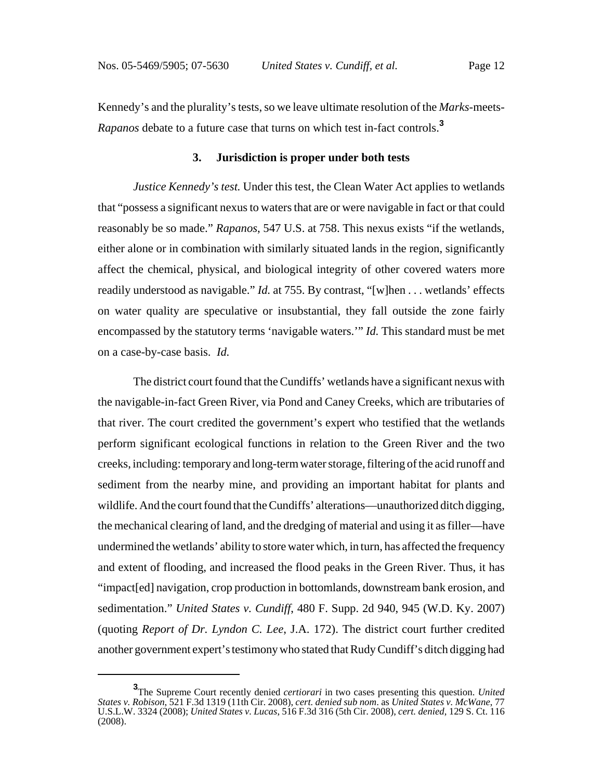Kennedy's and the plurality's tests, so we leave ultimate resolution of the *Marks-*meets-*Rapanos* debate to a future case that turns on which test in-fact controls.**<sup>3</sup>**

### **3. Jurisdiction is proper under both tests**

*Justice Kennedy's test.* Under this test, the Clean Water Act applies to wetlands that "possess a significant nexus to waters that are or were navigable in fact or that could reasonably be so made." *Rapanos*, 547 U.S. at 758. This nexus exists "if the wetlands, either alone or in combination with similarly situated lands in the region, significantly affect the chemical, physical, and biological integrity of other covered waters more readily understood as navigable." *Id.* at 755. By contrast, "[w]hen . . . wetlands' effects on water quality are speculative or insubstantial, they fall outside the zone fairly encompassed by the statutory terms 'navigable waters.'" *Id.* This standard must be met on a case-by-case basis. *Id.*

The district court found that the Cundiffs' wetlands have a significant nexus with the navigable-in-fact Green River, via Pond and Caney Creeks, which are tributaries of that river. The court credited the government's expert who testified that the wetlands perform significant ecological functions in relation to the Green River and the two creeks, including: temporary and long-term water storage, filtering of the acid runoff and sediment from the nearby mine, and providing an important habitat for plants and wildlife. And the court found that the Cundiffs' alterations—unauthorized ditch digging, the mechanical clearing of land, and the dredging of material and using it as filler—have undermined the wetlands' ability to store water which, in turn, has affected the frequency and extent of flooding, and increased the flood peaks in the Green River. Thus, it has "impact[ed] navigation, crop production in bottomlands, downstream bank erosion, and sedimentation." *United States v. Cundiff*, 480 F. Supp. 2d 940, 945 (W.D. Ky. 2007) (quoting *Report of Dr. Lyndon C. Lee*, J.A. 172). The district court further credited another government expert's testimony who stated that Rudy Cundiff's ditch digging had

**<sup>3</sup>** The Supreme Court recently denied *certiorari* in two cases presenting this question. *United States v. Robison*, 521 F.3d 1319 (11th Cir. 2008), *cert. denied sub nom*. as *United States v. McWane*, 77 U.S.L.W. 3324 (2008); *United States v. Lucas*, 516 F.3d 316 (5th Cir. 2008), *cert. denied*, 129 S. Ct. 116 (2008).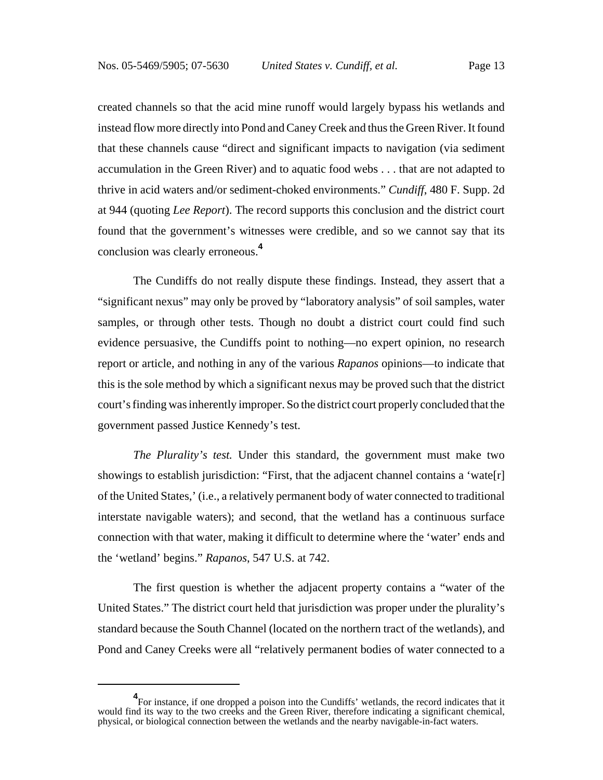created channels so that the acid mine runoff would largely bypass his wetlands and instead flow more directly into Pond and Caney Creek and thus the Green River. It found that these channels cause "direct and significant impacts to navigation (via sediment accumulation in the Green River) and to aquatic food webs . . . that are not adapted to thrive in acid waters and/or sediment-choked environments." *Cundiff*, 480 F. Supp. 2d at 944 (quoting *Lee Report*). The record supports this conclusion and the district court found that the government's witnesses were credible, and so we cannot say that its conclusion was clearly erroneous.**<sup>4</sup>**

The Cundiffs do not really dispute these findings. Instead, they assert that a "significant nexus" may only be proved by "laboratory analysis" of soil samples, water samples, or through other tests. Though no doubt a district court could find such evidence persuasive, the Cundiffs point to nothing—no expert opinion, no research report or article, and nothing in any of the various *Rapanos* opinions—to indicate that this is the sole method by which a significant nexus may be proved such that the district court's finding was inherently improper. So the district court properly concluded that the government passed Justice Kennedy's test.

*The Plurality's test.* Under this standard, the government must make two showings to establish jurisdiction: "First, that the adjacent channel contains a 'wate[r] of the United States,' (i.e., a relatively permanent body of water connected to traditional interstate navigable waters); and second, that the wetland has a continuous surface connection with that water, making it difficult to determine where the 'water' ends and the 'wetland' begins." *Rapanos*, 547 U.S. at 742.

The first question is whether the adjacent property contains a "water of the United States." The district court held that jurisdiction was proper under the plurality's standard because the South Channel (located on the northern tract of the wetlands), and Pond and Caney Creeks were all "relatively permanent bodies of water connected to a

<sup>&</sup>lt;sup>4</sup> For instance, if one dropped a poison into the Cundiffs' wetlands, the record indicates that it would find its way to the two creeks and the Green River, therefore indicating a significant chemical, physical, or biological connection between the wetlands and the nearby navigable-in-fact waters.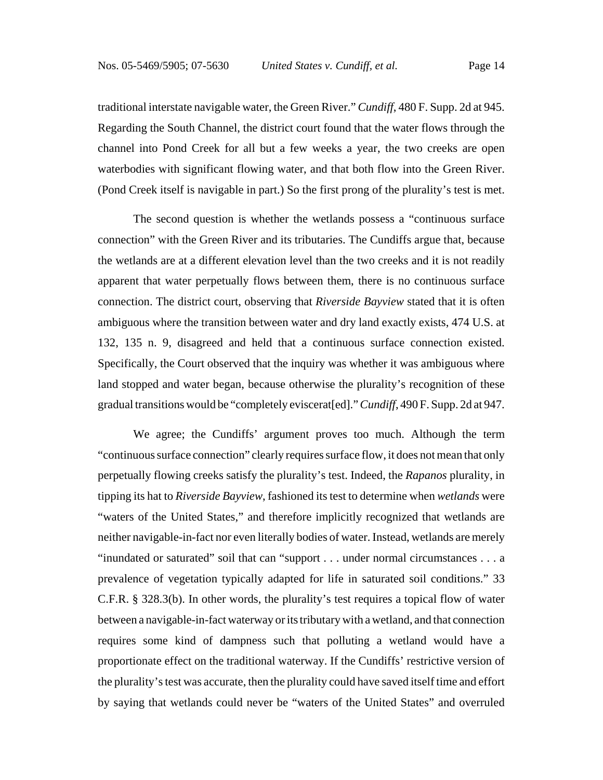traditional interstate navigable water, the Green River." *Cundiff*, 480 F. Supp. 2d at 945. Regarding the South Channel, the district court found that the water flows through the channel into Pond Creek for all but a few weeks a year, the two creeks are open waterbodies with significant flowing water, and that both flow into the Green River. (Pond Creek itself is navigable in part.) So the first prong of the plurality's test is met.

The second question is whether the wetlands possess a "continuous surface connection" with the Green River and its tributaries. The Cundiffs argue that, because the wetlands are at a different elevation level than the two creeks and it is not readily apparent that water perpetually flows between them, there is no continuous surface connection. The district court, observing that *Riverside Bayview* stated that it is often ambiguous where the transition between water and dry land exactly exists, 474 U.S. at 132, 135 n. 9, disagreed and held that a continuous surface connection existed. Specifically, the Court observed that the inquiry was whether it was ambiguous where land stopped and water began, because otherwise the plurality's recognition of these gradual transitions would be "completely eviscerat[ed]." *Cundiff*, 490 F. Supp. 2d at 947.

We agree; the Cundiffs' argument proves too much. Although the term "continuous surface connection" clearly requires surface flow, it does not mean that only perpetually flowing creeks satisfy the plurality's test. Indeed, the *Rapanos* plurality, in tipping its hat to *Riverside Bayview*, fashioned its test to determine when *wetlands* were "waters of the United States," and therefore implicitly recognized that wetlands are neither navigable-in-fact nor even literally bodies of water. Instead, wetlands are merely "inundated or saturated" soil that can "support . . . under normal circumstances . . . a prevalence of vegetation typically adapted for life in saturated soil conditions." 33 C.F.R. § 328.3(b). In other words, the plurality's test requires a topical flow of water between a navigable-in-fact waterway or its tributary with a wetland, and that connection requires some kind of dampness such that polluting a wetland would have a proportionate effect on the traditional waterway. If the Cundiffs' restrictive version of the plurality's test was accurate, then the plurality could have saved itself time and effort by saying that wetlands could never be "waters of the United States" and overruled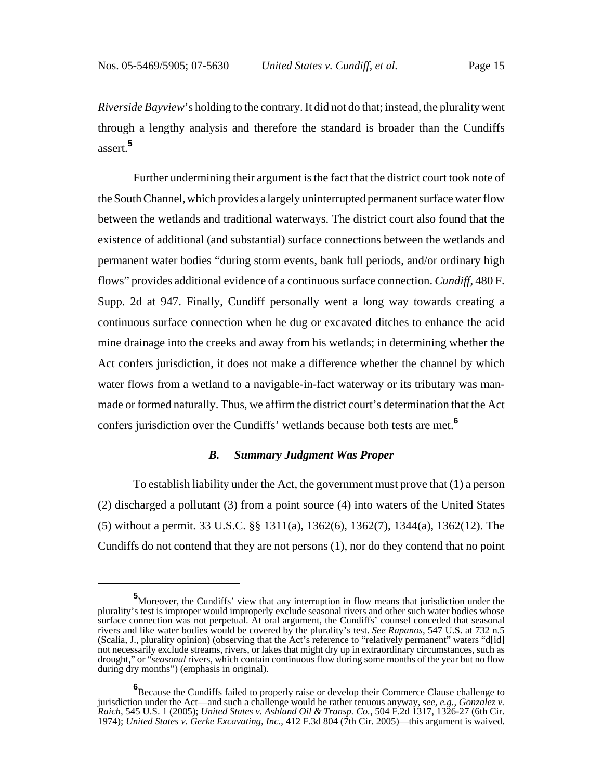*Riverside Bayview*'s holding to the contrary. It did not do that; instead, the plurality went through a lengthy analysis and therefore the standard is broader than the Cundiffs assert.**<sup>5</sup>**

Further undermining their argument is the fact that the district court took note of the South Channel, which provides a largely uninterrupted permanent surface water flow between the wetlands and traditional waterways. The district court also found that the existence of additional (and substantial) surface connections between the wetlands and permanent water bodies "during storm events, bank full periods, and/or ordinary high flows" provides additional evidence of a continuous surface connection. *Cundiff*, 480 F. Supp. 2d at 947. Finally, Cundiff personally went a long way towards creating a continuous surface connection when he dug or excavated ditches to enhance the acid mine drainage into the creeks and away from his wetlands; in determining whether the Act confers jurisdiction, it does not make a difference whether the channel by which water flows from a wetland to a navigable-in-fact waterway or its tributary was manmade or formed naturally. Thus, we affirm the district court's determination that the Act confers jurisdiction over the Cundiffs' wetlands because both tests are met.**<sup>6</sup>**

### *B. Summary Judgment Was Proper*

To establish liability under the Act, the government must prove that (1) a person (2) discharged a pollutant (3) from a point source (4) into waters of the United States (5) without a permit. 33 U.S.C. §§ 1311(a), 1362(6), 1362(7), 1344(a), 1362(12). The Cundiffs do not contend that they are not persons (1), nor do they contend that no point

**<sup>5</sup>** Moreover, the Cundiffs' view that any interruption in flow means that jurisdiction under the plurality's test is improper would improperly exclude seasonal rivers and other such water bodies whose surface connection was not perpetual. At oral argument, the Cundiffs' counsel conceded that seasonal rivers and like water bodies would be covered by the plurality's test. *See Rapanos*, 547 U.S. at 732 n.5 (Scalia, J., plurality opinion) (observing that the Act's reference to "relatively permanent" waters "d[id] not necessarily exclude streams, rivers, or lakes that might dry up in extraordinary circumstances, such as drought," or "*seasonal* rivers, which contain continuous flow during some months of the year but no flow during dry months") (emphasis in original).

**<sup>6</sup>** Because the Cundiffs failed to properly raise or develop their Commerce Clause challenge to jurisdiction under the Act—and such a challenge would be rather tenuous anyway, *see, e.g., Gonzalez v. Raich*, 545 U.S. 1 (2005); *United States v. Ashland Oil & Transp. Co.*, 504 F.2d 1317, 1326-27 (6th Cir. 1974); *United States v. Gerke Excavating, Inc.*, 412 F.3d 804 (7th Cir. 2005)—this argument is waived.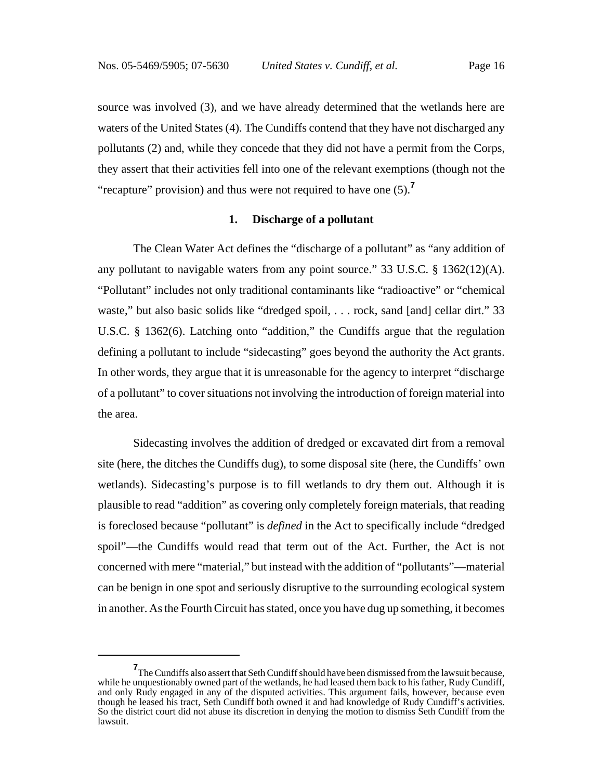source was involved (3), and we have already determined that the wetlands here are waters of the United States (4). The Cundiffs contend that they have not discharged any pollutants (2) and, while they concede that they did not have a permit from the Corps, they assert that their activities fell into one of the relevant exemptions (though not the "recapture" provision) and thus were not required to have one (5).<sup>*f*</sup>

#### **1. Discharge of a pollutant**

The Clean Water Act defines the "discharge of a pollutant" as "any addition of any pollutant to navigable waters from any point source." 33 U.S.C. § 1362(12)(A). "Pollutant" includes not only traditional contaminants like "radioactive" or "chemical waste," but also basic solids like "dredged spoil, . . . rock, sand [and] cellar dirt." 33 U.S.C. § 1362(6). Latching onto "addition," the Cundiffs argue that the regulation defining a pollutant to include "sidecasting" goes beyond the authority the Act grants. In other words, they argue that it is unreasonable for the agency to interpret "discharge of a pollutant" to cover situations not involving the introduction of foreign material into the area.

Sidecasting involves the addition of dredged or excavated dirt from a removal site (here, the ditches the Cundiffs dug), to some disposal site (here, the Cundiffs' own wetlands). Sidecasting's purpose is to fill wetlands to dry them out. Although it is plausible to read "addition" as covering only completely foreign materials, that reading is foreclosed because "pollutant" is *defined* in the Act to specifically include "dredged spoil"—the Cundiffs would read that term out of the Act. Further, the Act is not concerned with mere "material," but instead with the addition of "pollutants"—material can be benign in one spot and seriously disruptive to the surrounding ecological system in another. As the Fourth Circuit has stated, once you have dug up something, it becomes

**<sup>7</sup>** The Cundiffs also assert that Seth Cundiff should have been dismissed from the lawsuit because, while he unquestionably owned part of the wetlands, he had leased them back to his father, Rudy Cundiff, and only Rudy engaged in any of the disputed activities. This argument fails, however, because even though he leased his tract, Seth Cundiff both owned it and had knowledge of Rudy Cundiff's activities. So the district court did not abuse its discretion in denying the motion to dismiss Seth Cundiff from the lawsuit.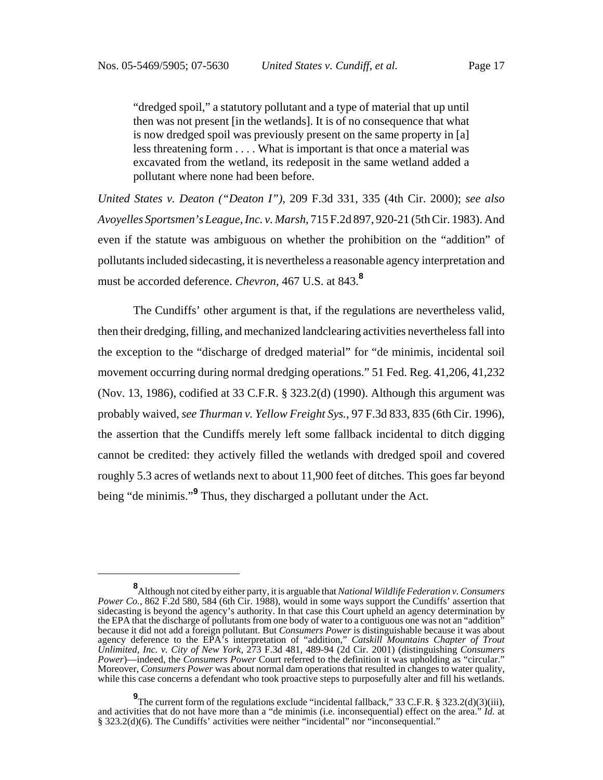"dredged spoil," a statutory pollutant and a type of material that up until then was not present [in the wetlands]. It is of no consequence that what is now dredged spoil was previously present on the same property in [a] less threatening form . . . . What is important is that once a material was excavated from the wetland, its redeposit in the same wetland added a pollutant where none had been before.

*United States v. Deaton ("Deaton I")*, 209 F.3d 331, 335 (4th Cir. 2000); *see also Avoyelles Sportsmen's League, Inc. v. Marsh*, 715 F.2d 897, 920-21 (5th Cir. 1983). And even if the statute was ambiguous on whether the prohibition on the "addition" of pollutants included sidecasting, it is nevertheless a reasonable agency interpretation and must be accorded deference. *Chevron*, 467 U.S. at 843.**<sup>8</sup>**

The Cundiffs' other argument is that, if the regulations are nevertheless valid, then their dredging, filling, and mechanized landclearing activities nevertheless fall into the exception to the "discharge of dredged material" for "de minimis, incidental soil movement occurring during normal dredging operations." 51 Fed. Reg. 41,206, 41,232 (Nov. 13, 1986), codified at 33 C.F.R. § 323.2(d) (1990). Although this argument was probably waived, *see Thurman v. Yellow Freight Sys.*, 97 F.3d 833, 835 (6th Cir. 1996), the assertion that the Cundiffs merely left some fallback incidental to ditch digging cannot be credited: they actively filled the wetlands with dredged spoil and covered roughly 5.3 acres of wetlands next to about 11,900 feet of ditches. This goes far beyond being "de minimis."**<sup>9</sup>** Thus, they discharged a pollutant under the Act.

**<sup>8</sup>** Although not cited by either party, it is arguable that *National Wildlife Federation v. Consumers Power Co.*, 862 F.2d 580, 584 (6th Cir. 1988), would in some ways support the Cundiffs' assertion that sidecasting is beyond the agency's authority. In that case this Court upheld an agency determination by the EPA that the discharge of pollutants from one body of water to a contiguous one was not an "addition" because it did not add a foreign pollutant. But *Consumers Power* is distinguishable because it was about agency deference to the EPA's interpretation of "addition," *Catskill Mountains Chapter of Trout Unlimited, Inc. v. City of New York*, 273 F.3d 481, 489-94 (2d Cir. 2001) (distinguishing *Consumers Power*)—indeed, the *Consumers Power* Court referred to the definition it was upholding as "circular." Moreover, *Consumers Power* was about normal dam operations that resulted in changes to water quality, while this case concerns a defendant who took proactive steps to purposefully alter and fill his wetlands.

**<sup>9</sup>**<br>The current form of the regulations exclude "incidental fallback," 33 C.F.R. § 323.2(d)(3)(iii), and activities that do not have more than a "de minimis (i.e. inconsequential) effect on the area." *Id.* at § 323.2(d)(6). The Cundiffs' activities were neither "incidental" nor "inconsequential."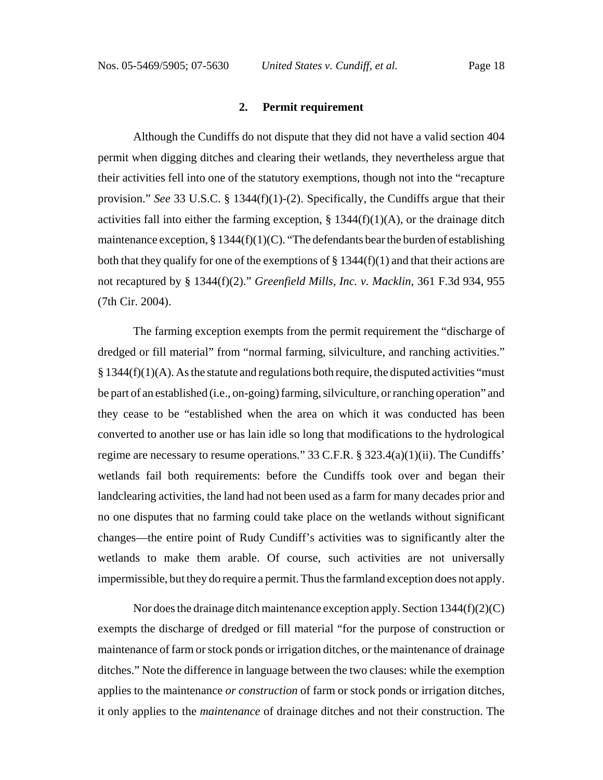#### **2. Permit requirement**

Although the Cundiffs do not dispute that they did not have a valid section 404 permit when digging ditches and clearing their wetlands, they nevertheless argue that their activities fell into one of the statutory exemptions, though not into the "recapture provision." *See* 33 U.S.C. § 1344(f)(1)-(2). Specifically, the Cundiffs argue that their activities fall into either the farming exception,  $\S$  1344(f)(1)(A), or the drainage ditch maintenance exception,  $\S 1344(f)(1)(C)$ . "The defendants bear the burden of establishing both that they qualify for one of the exemptions of  $\S 1344(f)(1)$  and that their actions are not recaptured by § 1344(f)(2)." *Greenfield Mills, Inc. v. Macklin*, 361 F.3d 934, 955 (7th Cir. 2004).

The farming exception exempts from the permit requirement the "discharge of dredged or fill material" from "normal farming, silviculture, and ranching activities."  $§$  1344(f)(1)(A). As the statute and regulations both require, the disputed activities "must" be part of an established (i.e., on-going) farming, silviculture, or ranching operation" and they cease to be "established when the area on which it was conducted has been converted to another use or has lain idle so long that modifications to the hydrological regime are necessary to resume operations." 33 C.F.R. § 323.4(a)(1)(ii). The Cundiffs' wetlands fail both requirements: before the Cundiffs took over and began their landclearing activities, the land had not been used as a farm for many decades prior and no one disputes that no farming could take place on the wetlands without significant changes—the entire point of Rudy Cundiff's activities was to significantly alter the wetlands to make them arable. Of course, such activities are not universally impermissible, but they do require a permit. Thus the farmland exception does not apply.

Nor does the drainage ditch maintenance exception apply. Section 1344(f)(2)(C) exempts the discharge of dredged or fill material "for the purpose of construction or maintenance of farm or stock ponds or irrigation ditches, or the maintenance of drainage ditches." Note the difference in language between the two clauses: while the exemption applies to the maintenance *or construction* of farm or stock ponds or irrigation ditches, it only applies to the *maintenance* of drainage ditches and not their construction. The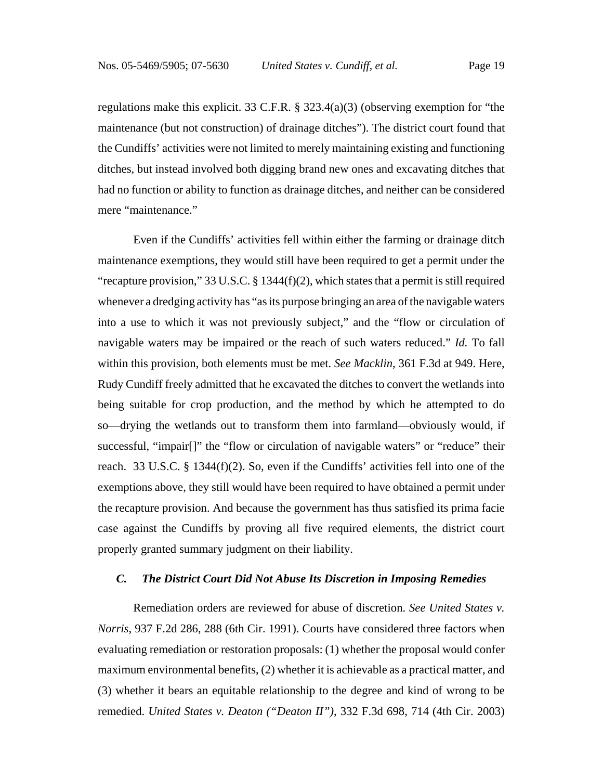regulations make this explicit. 33 C.F.R. § 323.4(a)(3) (observing exemption for "the maintenance (but not construction) of drainage ditches"). The district court found that the Cundiffs' activities were not limited to merely maintaining existing and functioning ditches, but instead involved both digging brand new ones and excavating ditches that had no function or ability to function as drainage ditches, and neither can be considered mere "maintenance."

Even if the Cundiffs' activities fell within either the farming or drainage ditch maintenance exemptions, they would still have been required to get a permit under the "recapture provision," 33 U.S.C.  $\S$  1344(f)(2), which states that a permit is still required whenever a dredging activity has "as its purpose bringing an area of the navigable waters into a use to which it was not previously subject," and the "flow or circulation of navigable waters may be impaired or the reach of such waters reduced." *Id.* To fall within this provision, both elements must be met. *See Macklin*, 361 F.3d at 949. Here, Rudy Cundiff freely admitted that he excavated the ditches to convert the wetlands into being suitable for crop production, and the method by which he attempted to do so—drying the wetlands out to transform them into farmland—obviously would, if successful, "impair[]" the "flow or circulation of navigable waters" or "reduce" their reach. 33 U.S.C. § 1344(f)(2). So, even if the Cundiffs' activities fell into one of the exemptions above, they still would have been required to have obtained a permit under the recapture provision. And because the government has thus satisfied its prima facie case against the Cundiffs by proving all five required elements, the district court properly granted summary judgment on their liability.

### *C. The District Court Did Not Abuse Its Discretion in Imposing Remedies*

Remediation orders are reviewed for abuse of discretion. *See United States v. Norris*, 937 F.2d 286, 288 (6th Cir. 1991). Courts have considered three factors when evaluating remediation or restoration proposals: (1) whether the proposal would confer maximum environmental benefits, (2) whether it is achievable as a practical matter, and (3) whether it bears an equitable relationship to the degree and kind of wrong to be remedied. *United States v. Deaton ("Deaton II")*, 332 F.3d 698, 714 (4th Cir. 2003)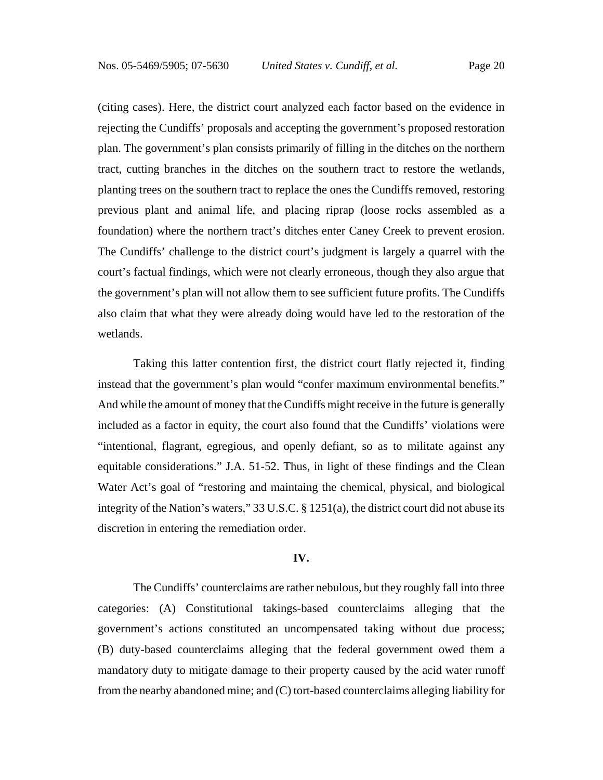(citing cases). Here, the district court analyzed each factor based on the evidence in rejecting the Cundiffs' proposals and accepting the government's proposed restoration plan. The government's plan consists primarily of filling in the ditches on the northern tract, cutting branches in the ditches on the southern tract to restore the wetlands, planting trees on the southern tract to replace the ones the Cundiffs removed, restoring previous plant and animal life, and placing riprap (loose rocks assembled as a foundation) where the northern tract's ditches enter Caney Creek to prevent erosion. The Cundiffs' challenge to the district court's judgment is largely a quarrel with the court's factual findings, which were not clearly erroneous, though they also argue that the government's plan will not allow them to see sufficient future profits. The Cundiffs also claim that what they were already doing would have led to the restoration of the wetlands.

Taking this latter contention first, the district court flatly rejected it, finding instead that the government's plan would "confer maximum environmental benefits." And while the amount of money that the Cundiffs might receive in the future is generally included as a factor in equity, the court also found that the Cundiffs' violations were "intentional, flagrant, egregious, and openly defiant, so as to militate against any equitable considerations." J.A. 51-52. Thus, in light of these findings and the Clean Water Act's goal of "restoring and maintaing the chemical, physical, and biological integrity of the Nation's waters," 33 U.S.C. § 1251(a), the district court did not abuse its discretion in entering the remediation order.

#### **IV.**

The Cundiffs' counterclaims are rather nebulous, but they roughly fall into three categories: (A) Constitutional takings-based counterclaims alleging that the government's actions constituted an uncompensated taking without due process; (B) duty-based counterclaims alleging that the federal government owed them a mandatory duty to mitigate damage to their property caused by the acid water runoff from the nearby abandoned mine; and (C) tort-based counterclaims alleging liability for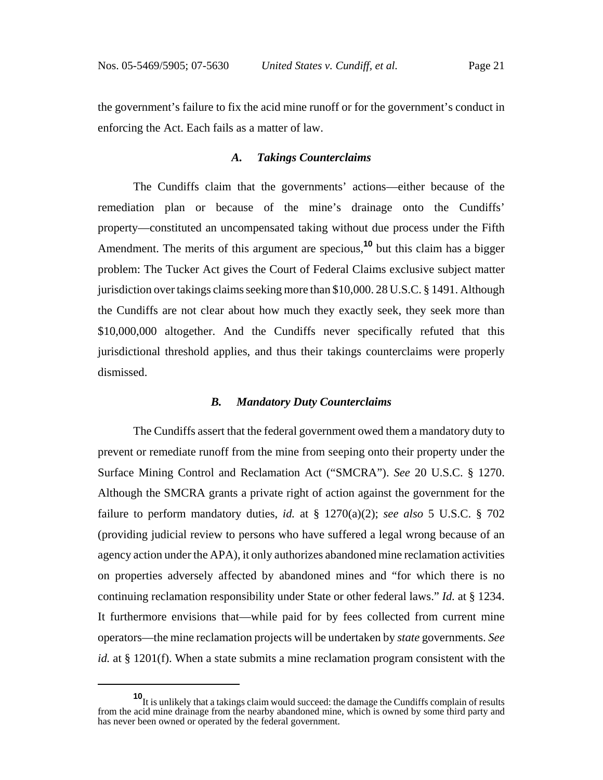the government's failure to fix the acid mine runoff or for the government's conduct in enforcing the Act. Each fails as a matter of law.

## *A. Takings Counterclaims*

The Cundiffs claim that the governments' actions—either because of the remediation plan or because of the mine's drainage onto the Cundiffs' property—constituted an uncompensated taking without due process under the Fifth Amendment. The merits of this argument are specious,**10** but this claim has a bigger problem: The Tucker Act gives the Court of Federal Claims exclusive subject matter jurisdiction over takings claims seeking more than \$10,000. 28 U.S.C. § 1491. Although the Cundiffs are not clear about how much they exactly seek, they seek more than \$10,000,000 altogether. And the Cundiffs never specifically refuted that this jurisdictional threshold applies, and thus their takings counterclaims were properly dismissed.

#### *B. Mandatory Duty Counterclaims*

The Cundiffs assert that the federal government owed them a mandatory duty to prevent or remediate runoff from the mine from seeping onto their property under the Surface Mining Control and Reclamation Act ("SMCRA"). *See* 20 U.S.C. § 1270. Although the SMCRA grants a private right of action against the government for the failure to perform mandatory duties, *id.* at § 1270(a)(2); *see also* 5 U.S.C. § 702 (providing judicial review to persons who have suffered a legal wrong because of an agency action under the APA), it only authorizes abandoned mine reclamation activities on properties adversely affected by abandoned mines and "for which there is no continuing reclamation responsibility under State or other federal laws." *Id.* at § 1234. It furthermore envisions that—while paid for by fees collected from current mine operators—the mine reclamation projects will be undertaken by *state* governments. *See id.* at § 1201(f). When a state submits a mine reclamation program consistent with the

**<sup>10</sup>**It is unlikely that a takings claim would succeed: the damage the Cundiffs complain of results from the acid mine drainage from the nearby abandoned mine, which is owned by some third party and has never been owned or operated by the federal government.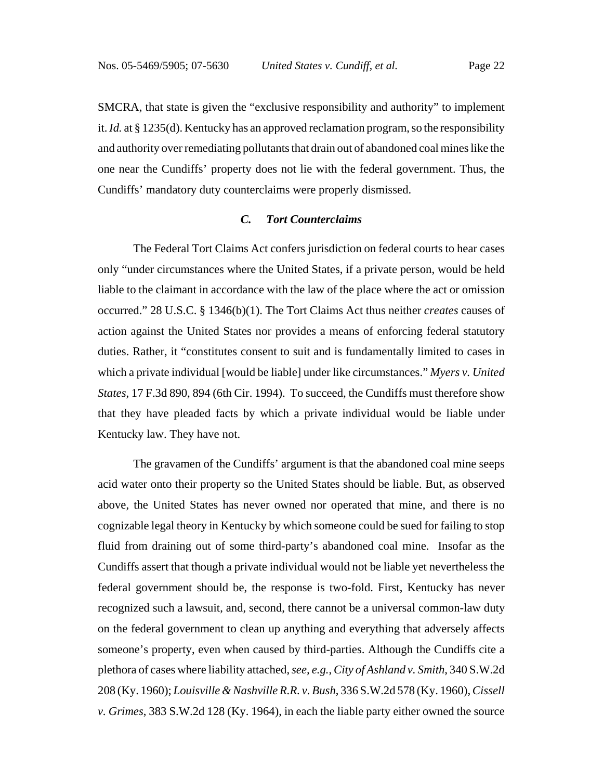SMCRA, that state is given the "exclusive responsibility and authority" to implement it. *Id.* at § 1235(d). Kentucky has an approved reclamation program, so the responsibility and authority over remediating pollutants that drain out of abandoned coal mines like the one near the Cundiffs' property does not lie with the federal government. Thus, the Cundiffs' mandatory duty counterclaims were properly dismissed.

### *C. Tort Counterclaims*

The Federal Tort Claims Act confers jurisdiction on federal courts to hear cases only "under circumstances where the United States, if a private person, would be held liable to the claimant in accordance with the law of the place where the act or omission occurred." 28 U.S.C. § 1346(b)(1). The Tort Claims Act thus neither *creates* causes of action against the United States nor provides a means of enforcing federal statutory duties. Rather, it "constitutes consent to suit and is fundamentally limited to cases in which a private individual [would be liable] under like circumstances." *Myers v. United States*, 17 F.3d 890, 894 (6th Cir. 1994). To succeed, the Cundiffs must therefore show that they have pleaded facts by which a private individual would be liable under Kentucky law. They have not.

The gravamen of the Cundiffs' argument is that the abandoned coal mine seeps acid water onto their property so the United States should be liable. But, as observed above, the United States has never owned nor operated that mine, and there is no cognizable legal theory in Kentucky by which someone could be sued for failing to stop fluid from draining out of some third-party's abandoned coal mine. Insofar as the Cundiffs assert that though a private individual would not be liable yet nevertheless the federal government should be, the response is two-fold. First, Kentucky has never recognized such a lawsuit, and, second, there cannot be a universal common-law duty on the federal government to clean up anything and everything that adversely affects someone's property, even when caused by third-parties. Although the Cundiffs cite a plethora of cases where liability attached, *see, e.g.*, *City of Ashland v. Smith*, 340 S.W.2d 208 (Ky. 1960); *Louisville & Nashville R.R. v. Bush*, 336 S.W.2d 578 (Ky. 1960), *Cissell v. Grimes*, 383 S.W.2d 128 (Ky. 1964), in each the liable party either owned the source